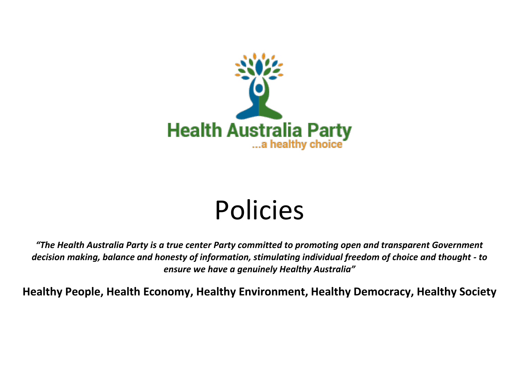

## Policies

*"The Health Australia Party is a true center Party committed to promoting open and transparent Government decision making, balance and honesty of information, stimulating individual freedom of choice and thought - to ensure we have a genuinely Healthy Australia"*

**Healthy People, Health Economy, Healthy Environment, Healthy Democracy, Healthy Society**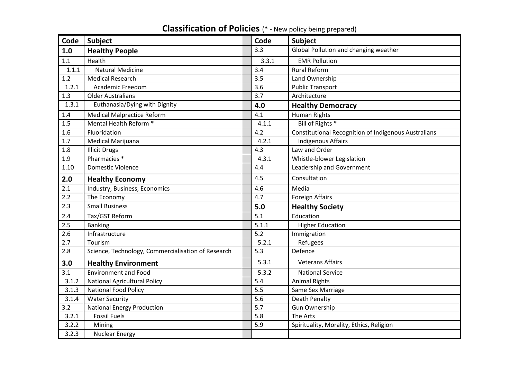| Code  | Subject                                            | Code  | <b>Subject</b>                                              |
|-------|----------------------------------------------------|-------|-------------------------------------------------------------|
| 1.0   | <b>Healthy People</b>                              | 3.3   | Global Pollution and changing weather                       |
| 1.1   | Health                                             | 3.3.1 | <b>EMR Pollution</b>                                        |
| 1.1.1 | <b>Natural Medicine</b>                            | 3.4   | <b>Rural Reform</b>                                         |
| 1.2   | <b>Medical Research</b>                            | 3.5   | Land Ownership                                              |
| 1.2.1 | <b>Academic Freedom</b>                            | 3.6   | <b>Public Transport</b>                                     |
| 1.3   | <b>Older Australians</b>                           | 3.7   | Architecture                                                |
| 1.3.1 | Euthanasia/Dying with Dignity                      | 4.0   | <b>Healthy Democracy</b>                                    |
| 1.4   | <b>Medical Malpractice Reform</b>                  | 4.1   | <b>Human Rights</b>                                         |
| 1.5   | Mental Health Reform *                             | 4.1.1 | Bill of Rights *                                            |
| 1.6   | Fluoridation                                       | 4.2   | <b>Constitutional Recognition of Indigenous Australians</b> |
| 1.7   | Medical Marijuana                                  | 4.2.1 | <b>Indigenous Affairs</b>                                   |
| 1.8   | <b>Illicit Drugs</b>                               | 4.3   | Law and Order                                               |
| 1.9   | Pharmacies <sup>*</sup>                            | 4.3.1 | Whistle-blower Legislation                                  |
| 1.10  | <b>Domestic Violence</b>                           | 4.4   | Leadership and Government                                   |
| 2.0   | <b>Healthy Economy</b>                             | 4.5   | Consultation                                                |
| 2.1   | Industry, Business, Economics                      | 4.6   | Media                                                       |
| 2.2   | The Economy                                        | 4.7   | <b>Foreign Affairs</b>                                      |
| 2.3   | <b>Small Business</b>                              | 5.0   | <b>Healthy Society</b>                                      |
| 2.4   | Tax/GST Reform                                     | 5.1   | Education                                                   |
| 2.5   | <b>Banking</b>                                     | 5.1.1 | <b>Higher Education</b>                                     |
| 2.6   | Infrastructure                                     | 5.2   | Immigration                                                 |
| 2.7   | Tourism                                            | 5.2.1 | Refugees                                                    |
| 2.8   | Science, Technology, Commercialisation of Research | 5.3   | Defence                                                     |
| 3.0   | <b>Healthy Environment</b>                         | 5.3.1 | <b>Veterans Affairs</b>                                     |
| 3.1   | <b>Environment and Food</b>                        | 5.3.2 | <b>National Service</b>                                     |
| 3.1.2 | <b>National Agricultural Policy</b>                | 5.4   | <b>Animal Rights</b>                                        |
| 3.1.3 | <b>National Food Policy</b>                        | 5.5   | Same Sex Marriage                                           |
| 3.1.4 | <b>Water Security</b>                              | 5.6   | <b>Death Penalty</b>                                        |
| 3.2   | <b>National Energy Production</b>                  | 5.7   | <b>Gun Ownership</b>                                        |
| 3.2.1 | <b>Fossil Fuels</b>                                | 5.8   | The Arts                                                    |
| 3.2.2 | Mining                                             | 5.9   | Spirituality, Morality, Ethics, Religion                    |
| 3.2.3 | <b>Nuclear Energy</b>                              |       |                                                             |

## **Classification of Policies** (\* - New policy being prepared)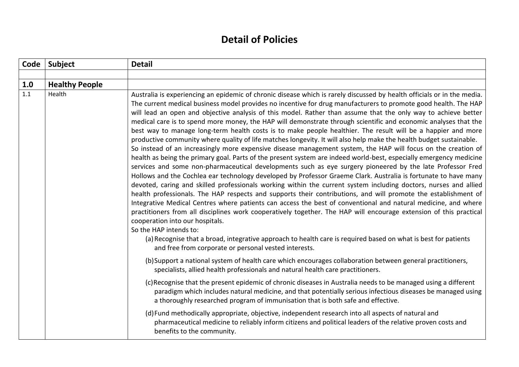## **Detail of Policies**

| Code | Subject               | <b>Detail</b>                                                                                                                                                                                                                                                                                                                                                                                                                                                                                                                                                                                                                                                                                                                                                                                                                                                                                                                                                                                                                                                                                                                                                                                                                                                                                                                                                                                                                                                                                                                                                                                                                                                                                                                                                                                                                                                                                                        |
|------|-----------------------|----------------------------------------------------------------------------------------------------------------------------------------------------------------------------------------------------------------------------------------------------------------------------------------------------------------------------------------------------------------------------------------------------------------------------------------------------------------------------------------------------------------------------------------------------------------------------------------------------------------------------------------------------------------------------------------------------------------------------------------------------------------------------------------------------------------------------------------------------------------------------------------------------------------------------------------------------------------------------------------------------------------------------------------------------------------------------------------------------------------------------------------------------------------------------------------------------------------------------------------------------------------------------------------------------------------------------------------------------------------------------------------------------------------------------------------------------------------------------------------------------------------------------------------------------------------------------------------------------------------------------------------------------------------------------------------------------------------------------------------------------------------------------------------------------------------------------------------------------------------------------------------------------------------------|
|      |                       |                                                                                                                                                                                                                                                                                                                                                                                                                                                                                                                                                                                                                                                                                                                                                                                                                                                                                                                                                                                                                                                                                                                                                                                                                                                                                                                                                                                                                                                                                                                                                                                                                                                                                                                                                                                                                                                                                                                      |
| 1.0  | <b>Healthy People</b> |                                                                                                                                                                                                                                                                                                                                                                                                                                                                                                                                                                                                                                                                                                                                                                                                                                                                                                                                                                                                                                                                                                                                                                                                                                                                                                                                                                                                                                                                                                                                                                                                                                                                                                                                                                                                                                                                                                                      |
| 1.1  | Health                | Australia is experiencing an epidemic of chronic disease which is rarely discussed by health officials or in the media.<br>The current medical business model provides no incentive for drug manufacturers to promote good health. The HAP<br>will lead an open and objective analysis of this model. Rather than assume that the only way to achieve better<br>medical care is to spend more money, the HAP will demonstrate through scientific and economic analyses that the<br>best way to manage long-term health costs is to make people healthier. The result will be a happier and more<br>productive community where quality of life matches longevity. It will also help make the health budget sustainable.<br>So instead of an increasingly more expensive disease management system, the HAP will focus on the creation of<br>health as being the primary goal. Parts of the present system are indeed world-best, especially emergency medicine<br>services and some non-pharmaceutical developments such as eye surgery pioneered by the late Professor Fred<br>Hollows and the Cochlea ear technology developed by Professor Graeme Clark. Australia is fortunate to have many<br>devoted, caring and skilled professionals working within the current system including doctors, nurses and allied<br>health professionals. The HAP respects and supports their contributions, and will promote the establishment of<br>Integrative Medical Centres where patients can access the best of conventional and natural medicine, and where<br>practitioners from all disciplines work cooperatively together. The HAP will encourage extension of this practical<br>cooperation into our hospitals.<br>So the HAP intends to:<br>(a) Recognise that a broad, integrative approach to health care is required based on what is best for patients<br>and free from corporate or personal vested interests. |
|      |                       | (b) Support a national system of health care which encourages collaboration between general practitioners,<br>specialists, allied health professionals and natural health care practitioners.                                                                                                                                                                                                                                                                                                                                                                                                                                                                                                                                                                                                                                                                                                                                                                                                                                                                                                                                                                                                                                                                                                                                                                                                                                                                                                                                                                                                                                                                                                                                                                                                                                                                                                                        |
|      |                       | (c) Recognise that the present epidemic of chronic diseases in Australia needs to be managed using a different<br>paradigm which includes natural medicine, and that potentially serious infectious diseases be managed using<br>a thoroughly researched program of immunisation that is both safe and effective.                                                                                                                                                                                                                                                                                                                                                                                                                                                                                                                                                                                                                                                                                                                                                                                                                                                                                                                                                                                                                                                                                                                                                                                                                                                                                                                                                                                                                                                                                                                                                                                                    |
|      |                       | (d) Fund methodically appropriate, objective, independent research into all aspects of natural and<br>pharmaceutical medicine to reliably inform citizens and political leaders of the relative proven costs and<br>benefits to the community.                                                                                                                                                                                                                                                                                                                                                                                                                                                                                                                                                                                                                                                                                                                                                                                                                                                                                                                                                                                                                                                                                                                                                                                                                                                                                                                                                                                                                                                                                                                                                                                                                                                                       |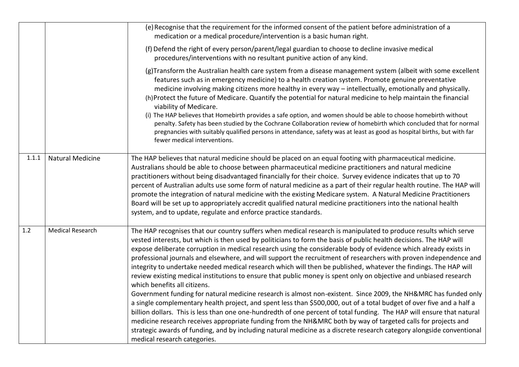|       |                         | (e) Recognise that the requirement for the informed consent of the patient before administration of a<br>medication or a medical procedure/intervention is a basic human right.                                                                                                                                                                                                                                                                                                                                                                                                                                                                                                                                                                                                                                                                                                                                                                                                                                                                                                                                                                                                                                                                                                                                                                                                                         |
|-------|-------------------------|---------------------------------------------------------------------------------------------------------------------------------------------------------------------------------------------------------------------------------------------------------------------------------------------------------------------------------------------------------------------------------------------------------------------------------------------------------------------------------------------------------------------------------------------------------------------------------------------------------------------------------------------------------------------------------------------------------------------------------------------------------------------------------------------------------------------------------------------------------------------------------------------------------------------------------------------------------------------------------------------------------------------------------------------------------------------------------------------------------------------------------------------------------------------------------------------------------------------------------------------------------------------------------------------------------------------------------------------------------------------------------------------------------|
|       |                         | (f) Defend the right of every person/parent/legal guardian to choose to decline invasive medical<br>procedures/interventions with no resultant punitive action of any kind.                                                                                                                                                                                                                                                                                                                                                                                                                                                                                                                                                                                                                                                                                                                                                                                                                                                                                                                                                                                                                                                                                                                                                                                                                             |
|       |                         | (g)Transform the Australian health care system from a disease management system (albeit with some excellent<br>features such as in emergency medicine) to a health creation system. Promote genuine preventative<br>medicine involving making citizens more healthy in every way - intellectually, emotionally and physically.<br>(h)Protect the future of Medicare. Quantify the potential for natural medicine to help maintain the financial<br>viability of Medicare.<br>(i) The HAP believes that Homebirth provides a safe option, and women should be able to choose homebirth without<br>penalty. Safety has been studied by the Cochrane Collaboration review of homebirth which concluded that for normal<br>pregnancies with suitably qualified persons in attendance, safety was at least as good as hospital births, but with far<br>fewer medical interventions.                                                                                                                                                                                                                                                                                                                                                                                                                                                                                                                          |
| 1.1.1 | <b>Natural Medicine</b> | The HAP believes that natural medicine should be placed on an equal footing with pharmaceutical medicine.<br>Australians should be able to choose between pharmaceutical medicine practitioners and natural medicine<br>practitioners without being disadvantaged financially for their choice. Survey evidence indicates that up to 70<br>percent of Australian adults use some form of natural medicine as a part of their regular health routine. The HAP will<br>promote the integration of natural medicine with the existing Medicare system. A Natural Medicine Practitioners<br>Board will be set up to appropriately accredit qualified natural medicine practitioners into the national health<br>system, and to update, regulate and enforce practice standards.                                                                                                                                                                                                                                                                                                                                                                                                                                                                                                                                                                                                                             |
| 1.2   | <b>Medical Research</b> | The HAP recognises that our country suffers when medical research is manipulated to produce results which serve<br>vested interests, but which is then used by politicians to form the basis of public health decisions. The HAP will<br>expose deliberate corruption in medical research using the considerable body of evidence which already exists in<br>professional journals and elsewhere, and will support the recruitment of researchers with proven independence and<br>integrity to undertake needed medical research which will then be published, whatever the findings. The HAP will<br>review existing medical institutions to ensure that public money is spent only on objective and unbiased research<br>which benefits all citizens.<br>Government funding for natural medicine research is almost non-existent. Since 2009, the NH&MRC has funded only<br>a single complementary health project, and spent less than \$500,000, out of a total budget of over five and a half a<br>billion dollars. This is less than one one-hundredth of one percent of total funding. The HAP will ensure that natural<br>medicine research receives appropriate funding from the NH&MRC both by way of targeted calls for projects and<br>strategic awards of funding, and by including natural medicine as a discrete research category alongside conventional<br>medical research categories. |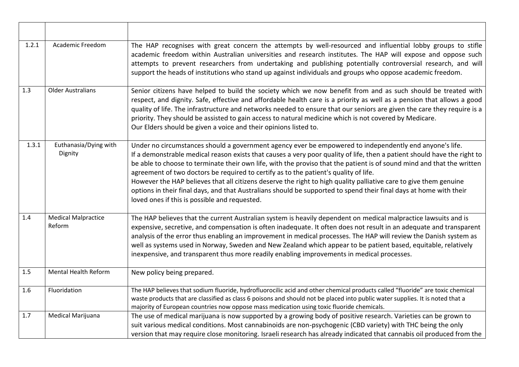| 1.2.1   | Academic Freedom                     | The HAP recognises with great concern the attempts by well-resourced and influential lobby groups to stifle<br>academic freedom within Australian universities and research institutes. The HAP will expose and oppose such<br>attempts to prevent researchers from undertaking and publishing potentially controversial research, and will<br>support the heads of institutions who stand up against individuals and groups who oppose academic freedom.                                                                                                                                                                                                                                                                                         |
|---------|--------------------------------------|---------------------------------------------------------------------------------------------------------------------------------------------------------------------------------------------------------------------------------------------------------------------------------------------------------------------------------------------------------------------------------------------------------------------------------------------------------------------------------------------------------------------------------------------------------------------------------------------------------------------------------------------------------------------------------------------------------------------------------------------------|
| 1.3     | <b>Older Australians</b>             | Senior citizens have helped to build the society which we now benefit from and as such should be treated with<br>respect, and dignity. Safe, effective and affordable health care is a priority as well as a pension that allows a good<br>quality of life. The infrastructure and networks needed to ensure that our seniors are given the care they require is a<br>priority. They should be assisted to gain access to natural medicine which is not covered by Medicare.<br>Our Elders should be given a voice and their opinions listed to.                                                                                                                                                                                                  |
| 1.3.1   | Euthanasia/Dying with<br>Dignity     | Under no circumstances should a government agency ever be empowered to independently end anyone's life.<br>If a demonstrable medical reason exists that causes a very poor quality of life, then a patient should have the right to<br>be able to choose to terminate their own life, with the proviso that the patient is of sound mind and that the written<br>agreement of two doctors be required to certify as to the patient's quality of life.<br>However the HAP believes that all citizens deserve the right to high quality palliative care to give them genuine<br>options in their final days, and that Australians should be supported to spend their final days at home with their<br>loved ones if this is possible and requested. |
| 1.4     | <b>Medical Malpractice</b><br>Reform | The HAP believes that the current Australian system is heavily dependent on medical malpractice lawsuits and is<br>expensive, secretive, and compensation is often inadequate. It often does not result in an adequate and transparent<br>analysis of the error thus enabling an improvement in medical processes. The HAP will review the Danish system as<br>well as systems used in Norway, Sweden and New Zealand which appear to be patient based, equitable, relatively<br>inexpensive, and transparent thus more readily enabling improvements in medical processes.                                                                                                                                                                       |
| 1.5     | <b>Mental Health Reform</b>          | New policy being prepared.                                                                                                                                                                                                                                                                                                                                                                                                                                                                                                                                                                                                                                                                                                                        |
| $1.6\,$ | Fluoridation                         | The HAP believes that sodium fluoride, hydrofluorocilic acid and other chemical products called "fluoride" are toxic chemical<br>waste products that are classified as class 6 poisons and should not be placed into public water supplies. It is noted that a<br>majority of European countries now oppose mass medication using toxic fluoride chemicals.                                                                                                                                                                                                                                                                                                                                                                                       |
| 1.7     | Medical Marijuana                    | The use of medical marijuana is now supported by a growing body of positive research. Varieties can be grown to<br>suit various medical conditions. Most cannabinoids are non-psychogenic (CBD variety) with THC being the only<br>version that may require close monitoring. Israeli research has already indicated that cannabis oil produced from the                                                                                                                                                                                                                                                                                                                                                                                          |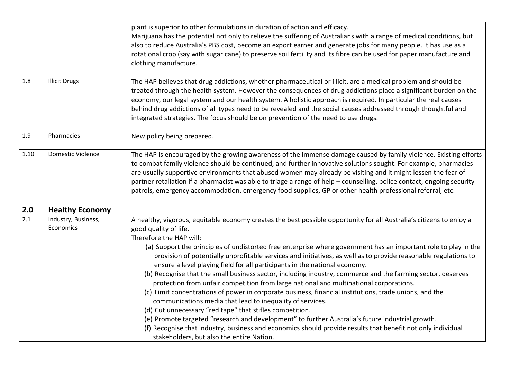|      |                                  | plant is superior to other formulations in duration of action and efficacy.<br>Marijuana has the potential not only to relieve the suffering of Australians with a range of medical conditions, but                                                                                                                                                                                                                                                                                                                                                                                                                                                                                                                                                                                                                                                                                                                                                                                                                                                                                                                                                                                                      |
|------|----------------------------------|----------------------------------------------------------------------------------------------------------------------------------------------------------------------------------------------------------------------------------------------------------------------------------------------------------------------------------------------------------------------------------------------------------------------------------------------------------------------------------------------------------------------------------------------------------------------------------------------------------------------------------------------------------------------------------------------------------------------------------------------------------------------------------------------------------------------------------------------------------------------------------------------------------------------------------------------------------------------------------------------------------------------------------------------------------------------------------------------------------------------------------------------------------------------------------------------------------|
|      |                                  | also to reduce Australia's PBS cost, become an export earner and generate jobs for many people. It has use as a<br>rotational crop (say with sugar cane) to preserve soil fertility and its fibre can be used for paper manufacture and<br>clothing manufacture.                                                                                                                                                                                                                                                                                                                                                                                                                                                                                                                                                                                                                                                                                                                                                                                                                                                                                                                                         |
|      |                                  |                                                                                                                                                                                                                                                                                                                                                                                                                                                                                                                                                                                                                                                                                                                                                                                                                                                                                                                                                                                                                                                                                                                                                                                                          |
| 1.8  | <b>Illicit Drugs</b>             | The HAP believes that drug addictions, whether pharmaceutical or illicit, are a medical problem and should be<br>treated through the health system. However the consequences of drug addictions place a significant burden on the<br>economy, our legal system and our health system. A holistic approach is required. In particular the real causes<br>behind drug addictions of all types need to be revealed and the social causes addressed through thoughtful and<br>integrated strategies. The focus should be on prevention of the need to use drugs.                                                                                                                                                                                                                                                                                                                                                                                                                                                                                                                                                                                                                                             |
| 1.9  | Pharmacies                       | New policy being prepared.                                                                                                                                                                                                                                                                                                                                                                                                                                                                                                                                                                                                                                                                                                                                                                                                                                                                                                                                                                                                                                                                                                                                                                               |
| 1.10 | <b>Domestic Violence</b>         | The HAP is encouraged by the growing awareness of the immense damage caused by family violence. Existing efforts<br>to combat family violence should be continued, and further innovative solutions sought. For example, pharmacies<br>are usually supportive environments that abused women may already be visiting and it might lessen the fear of<br>partner retaliation if a pharmacist was able to triage a range of help - counselling, police contact, ongoing security<br>patrols, emergency accommodation, emergency food supplies, GP or other health professional referral, etc.                                                                                                                                                                                                                                                                                                                                                                                                                                                                                                                                                                                                              |
| 2.0  | <b>Healthy Economy</b>           |                                                                                                                                                                                                                                                                                                                                                                                                                                                                                                                                                                                                                                                                                                                                                                                                                                                                                                                                                                                                                                                                                                                                                                                                          |
| 2.1  | Industry, Business,<br>Economics | A healthy, vigorous, equitable economy creates the best possible opportunity for all Australia's citizens to enjoy a<br>good quality of life.<br>Therefore the HAP will:<br>(a) Support the principles of undistorted free enterprise where government has an important role to play in the<br>provision of potentially unprofitable services and initiatives, as well as to provide reasonable regulations to<br>ensure a level playing field for all participants in the national economy.<br>(b) Recognise that the small business sector, including industry, commerce and the farming sector, deserves<br>protection from unfair competition from large national and multinational corporations.<br>(c) Limit concentrations of power in corporate business, financial institutions, trade unions, and the<br>communications media that lead to inequality of services.<br>(d) Cut unnecessary "red tape" that stifles competition.<br>(e) Promote targeted "research and development" to further Australia's future industrial growth.<br>(f) Recognise that industry, business and economics should provide results that benefit not only individual<br>stakeholders, but also the entire Nation. |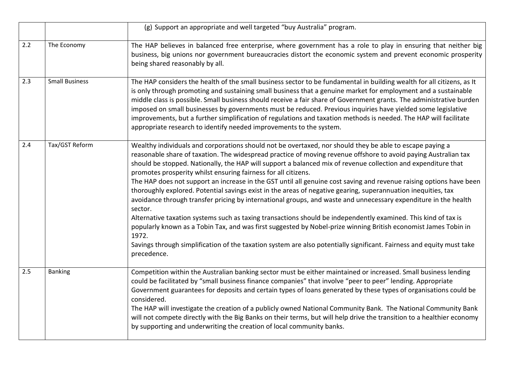|     |                       | (g) Support an appropriate and well targeted "buy Australia" program.                                                                                                                                                                                                                                                                                                                                                                                                                                                                                                                                                                                                                                                                                                                                                                                                                                                                                                                                                                                                                                                                                                      |
|-----|-----------------------|----------------------------------------------------------------------------------------------------------------------------------------------------------------------------------------------------------------------------------------------------------------------------------------------------------------------------------------------------------------------------------------------------------------------------------------------------------------------------------------------------------------------------------------------------------------------------------------------------------------------------------------------------------------------------------------------------------------------------------------------------------------------------------------------------------------------------------------------------------------------------------------------------------------------------------------------------------------------------------------------------------------------------------------------------------------------------------------------------------------------------------------------------------------------------|
| 2.2 | The Economy           | The HAP believes in balanced free enterprise, where government has a role to play in ensuring that neither big<br>business, big unions nor government bureaucracies distort the economic system and prevent economic prosperity<br>being shared reasonably by all.                                                                                                                                                                                                                                                                                                                                                                                                                                                                                                                                                                                                                                                                                                                                                                                                                                                                                                         |
| 2.3 | <b>Small Business</b> | The HAP considers the health of the small business sector to be fundamental in building wealth for all citizens, as It<br>is only through promoting and sustaining small business that a genuine market for employment and a sustainable<br>middle class is possible. Small business should receive a fair share of Government grants. The administrative burden<br>imposed on small businesses by governments must be reduced. Previous inquiries have yielded some legislative<br>improvements, but a further simplification of regulations and taxation methods is needed. The HAP will facilitate<br>appropriate research to identify needed improvements to the system.                                                                                                                                                                                                                                                                                                                                                                                                                                                                                               |
| 2.4 | Tax/GST Reform        | Wealthy individuals and corporations should not be overtaxed, nor should they be able to escape paying a<br>reasonable share of taxation. The widespread practice of moving revenue offshore to avoid paying Australian tax<br>should be stopped. Nationally, the HAP will support a balanced mix of revenue collection and expenditure that<br>promotes prosperity whilst ensuring fairness for all citizens.<br>The HAP does not support an increase in the GST until all genuine cost saving and revenue raising options have been<br>thoroughly explored. Potential savings exist in the areas of negative gearing, superannuation inequities, tax<br>avoidance through transfer pricing by international groups, and waste and unnecessary expenditure in the health<br>sector.<br>Alternative taxation systems such as taxing transactions should be independently examined. This kind of tax is<br>popularly known as a Tobin Tax, and was first suggested by Nobel-prize winning British economist James Tobin in<br>1972.<br>Savings through simplification of the taxation system are also potentially significant. Fairness and equity must take<br>precedence. |
| 2.5 | <b>Banking</b>        | Competition within the Australian banking sector must be either maintained or increased. Small business lending<br>could be facilitated by "small business finance companies" that involve "peer to peer" lending. Appropriate<br>Government guarantees for deposits and certain types of loans generated by these types of organisations could be<br>considered.<br>The HAP will investigate the creation of a publicly owned National Community Bank. The National Community Bank<br>will not compete directly with the Big Banks on their terms, but will help drive the transition to a healthier economy<br>by supporting and underwriting the creation of local community banks.                                                                                                                                                                                                                                                                                                                                                                                                                                                                                     |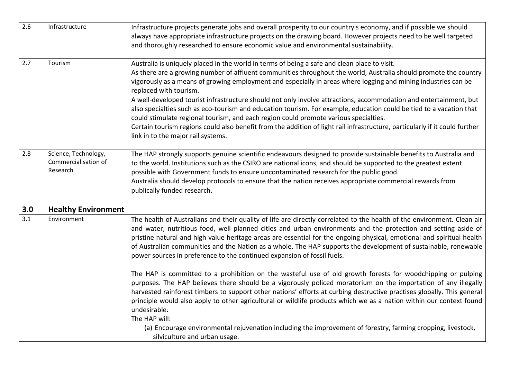| 2.6              | Infrastructure             | Infrastructure projects generate jobs and overall prosperity to our country's economy, and if possible we should                                                                                            |
|------------------|----------------------------|-------------------------------------------------------------------------------------------------------------------------------------------------------------------------------------------------------------|
|                  |                            | always have appropriate infrastructure projects on the drawing board. However projects need to be well targeted                                                                                             |
|                  |                            | and thoroughly researched to ensure economic value and environmental sustainability.                                                                                                                        |
|                  |                            |                                                                                                                                                                                                             |
| 2.7              | Tourism                    | Australia is uniquely placed in the world in terms of being a safe and clean place to visit.                                                                                                                |
|                  |                            | As there are a growing number of affluent communities throughout the world, Australia should promote the country                                                                                            |
|                  |                            | vigorously as a means of growing employment and especially in areas where logging and mining industries can be<br>replaced with tourism.                                                                    |
|                  |                            | A well-developed tourist infrastructure should not only involve attractions, accommodation and entertainment, but                                                                                           |
|                  |                            | also specialties such as eco-tourism and education tourism. For example, education could be tied to a vacation that<br>could stimulate regional tourism, and each region could promote various specialties. |
|                  |                            | Certain tourism regions could also benefit from the addition of light rail infrastructure, particularly if it could further                                                                                 |
|                  |                            | link in to the major rail systems.                                                                                                                                                                          |
|                  |                            |                                                                                                                                                                                                             |
| 2.8              | Science, Technology,       | The HAP strongly supports genuine scientific endeavours designed to provide sustainable benefits to Australia and                                                                                           |
|                  | Commercialisation of       | to the world. Institutions such as the CSIRO are national icons, and should be supported to the greatest extent                                                                                             |
|                  | Research                   | possible with Government funds to ensure uncontaminated research for the public good.                                                                                                                       |
|                  |                            | Australia should develop protocols to ensure that the nation receives appropriate commercial rewards from                                                                                                   |
|                  |                            | publically funded research.                                                                                                                                                                                 |
|                  |                            |                                                                                                                                                                                                             |
| 3.0              | <b>Healthy Environment</b> |                                                                                                                                                                                                             |
| $\overline{3.1}$ | Environment                | The health of Australians and their quality of life are directly correlated to the health of the environment. Clean air                                                                                     |
|                  |                            | and water, nutritious food, well planned cities and urban environments and the protection and setting aside of                                                                                              |
|                  |                            | pristine natural and high value heritage areas are essential for the ongoing physical, emotional and spiritual health                                                                                       |
|                  |                            | of Australian communities and the Nation as a whole. The HAP supports the development of sustainable, renewable                                                                                             |
|                  |                            | power sources in preference to the continued expansion of fossil fuels.                                                                                                                                     |
|                  |                            |                                                                                                                                                                                                             |
|                  |                            | The HAP is committed to a prohibition on the wasteful use of old growth forests for woodchipping or pulping                                                                                                 |
|                  |                            | purposes. The HAP believes there should be a vigorously policed moratorium on the importation of any illegally                                                                                              |
|                  |                            | harvested rainforest timbers to support other nations' efforts at curbing destructive practises globally. This general                                                                                      |
|                  |                            | principle would also apply to other agricultural or wildlife products which we as a nation within our context found                                                                                         |
|                  |                            | undesirable.<br>The HAP will:                                                                                                                                                                               |
|                  |                            | (a) Encourage environmental rejuvenation including the improvement of forestry, farming cropping, livestock,                                                                                                |
|                  |                            |                                                                                                                                                                                                             |
|                  |                            | silviculture and urban usage.                                                                                                                                                                               |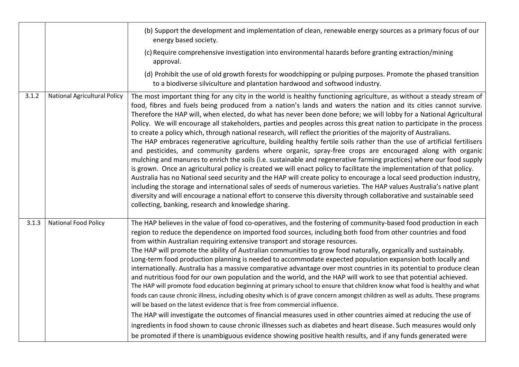|       |                                     | (b) Support the development and implementation of clean, renewable energy sources as a primary focus of our<br>energy based society.                                                                                                                                                                                                                                                                                                                                                                                                                                                                                                                                                                                                                                                                                                                                                                                                                                                                                                                                                                                                                                                                                                                                                                                                                                                                                                                                                                                                    |
|-------|-------------------------------------|-----------------------------------------------------------------------------------------------------------------------------------------------------------------------------------------------------------------------------------------------------------------------------------------------------------------------------------------------------------------------------------------------------------------------------------------------------------------------------------------------------------------------------------------------------------------------------------------------------------------------------------------------------------------------------------------------------------------------------------------------------------------------------------------------------------------------------------------------------------------------------------------------------------------------------------------------------------------------------------------------------------------------------------------------------------------------------------------------------------------------------------------------------------------------------------------------------------------------------------------------------------------------------------------------------------------------------------------------------------------------------------------------------------------------------------------------------------------------------------------------------------------------------------------|
|       |                                     | (c) Require comprehensive investigation into environmental hazards before granting extraction/mining<br>approval.                                                                                                                                                                                                                                                                                                                                                                                                                                                                                                                                                                                                                                                                                                                                                                                                                                                                                                                                                                                                                                                                                                                                                                                                                                                                                                                                                                                                                       |
|       |                                     | (d) Prohibit the use of old growth forests for woodchipping or pulping purposes. Promote the phased transition<br>to a biodiverse silviculture and plantation hardwood and softwood industry.                                                                                                                                                                                                                                                                                                                                                                                                                                                                                                                                                                                                                                                                                                                                                                                                                                                                                                                                                                                                                                                                                                                                                                                                                                                                                                                                           |
| 3.1.2 | <b>National Agricultural Policy</b> | The most important thing for any city in the world is healthy functioning agriculture, as without a steady stream of<br>food, fibres and fuels being produced from a nation's lands and waters the nation and its cities cannot survive.<br>Therefore the HAP will, when elected, do what has never been done before; we will lobby for a National Agricultural<br>Policy. We will encourage all stakeholders, parties and peoples across this great nation to participate in the process<br>to create a policy which, through national research, will reflect the priorities of the majority of Australians.<br>The HAP embraces regenerative agriculture, building healthy fertile soils rather than the use of artificial fertilisers<br>and pesticides, and community gardens where organic, spray-free crops are encouraged along with organic<br>mulching and manures to enrich the soils (i.e. sustainable and regenerative farming practices) where our food supply<br>is grown. Once an agricultural policy is created we will enact policy to facilitate the implementation of that policy.<br>Australia has no National seed security and the HAP will create policy to encourage a local seed production industry,<br>including the storage and international sales of seeds of numerous varieties. The HAP values Australia's native plant<br>diversity and will encourage a national effort to conserve this diversity through collaborative and sustainable seed<br>collecting, banking, research and knowledge sharing. |
| 3.1.3 | <b>National Food Policy</b>         | The HAP believes in the value of food co-operatives, and the fostering of community-based food production in each<br>region to reduce the dependence on imported food sources, including both food from other countries and food<br>from within Australian requiring extensive transport and storage resources.<br>The HAP will promote the ability of Australian communities to grow food naturally, organically and sustainably.<br>Long-term food production planning is needed to accommodate expected population expansion both locally and<br>internationally. Australia has a massive comparative advantage over most countries in its potential to produce clean<br>and nutritious food for our own population and the world, and the HAP will work to see that potential achieved.<br>The HAP will promote food education beginning at primary school to ensure that children know what food is healthy and what<br>foods can cause chronic illness, including obesity which is of grave concern amongst children as well as adults. These programs<br>will be based on the latest evidence that is free from commercial influence.<br>The HAP will investigate the outcomes of financial measures used in other countries aimed at reducing the use of<br>ingredients in food shown to cause chronic illnesses such as diabetes and heart disease. Such measures would only<br>be promoted if there is unambiguous evidence showing positive health results, and if any funds generated were                                  |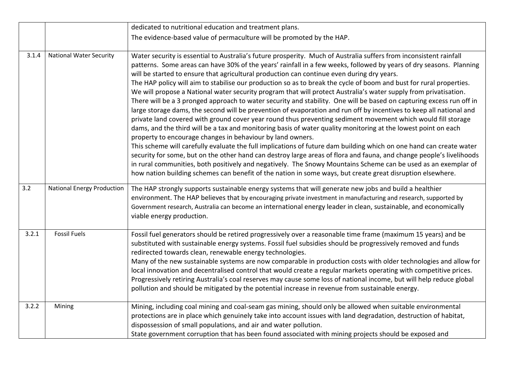|       |                                   | dedicated to nutritional education and treatment plans.                                                                                                                                                                                                                                                                                                                                                                                                                                                                                                                                                                                                                                                                                                                                                                                                                                                                                                                                                                                                                                                                                                                                                                                                                                                                                                                                                                                                                                            |
|-------|-----------------------------------|----------------------------------------------------------------------------------------------------------------------------------------------------------------------------------------------------------------------------------------------------------------------------------------------------------------------------------------------------------------------------------------------------------------------------------------------------------------------------------------------------------------------------------------------------------------------------------------------------------------------------------------------------------------------------------------------------------------------------------------------------------------------------------------------------------------------------------------------------------------------------------------------------------------------------------------------------------------------------------------------------------------------------------------------------------------------------------------------------------------------------------------------------------------------------------------------------------------------------------------------------------------------------------------------------------------------------------------------------------------------------------------------------------------------------------------------------------------------------------------------------|
|       |                                   | The evidence-based value of permaculture will be promoted by the HAP.                                                                                                                                                                                                                                                                                                                                                                                                                                                                                                                                                                                                                                                                                                                                                                                                                                                                                                                                                                                                                                                                                                                                                                                                                                                                                                                                                                                                                              |
| 3.1.4 | <b>National Water Security</b>    | Water security is essential to Australia's future prosperity. Much of Australia suffers from inconsistent rainfall<br>patterns. Some areas can have 30% of the years' rainfall in a few weeks, followed by years of dry seasons. Planning<br>will be started to ensure that agricultural production can continue even during dry years.<br>The HAP policy will aim to stabilise our production so as to break the cycle of boom and bust for rural properties.<br>We will propose a National water security program that will protect Australia's water supply from privatisation.<br>There will be a 3 pronged approach to water security and stability. One will be based on capturing excess run off in<br>large storage dams, the second will be prevention of evaporation and run off by incentives to keep all national and<br>private land covered with ground cover year round thus preventing sediment movement which would fill storage<br>dams, and the third will be a tax and monitoring basis of water quality monitoring at the lowest point on each<br>property to encourage changes in behaviour by land owners.<br>This scheme will carefully evaluate the full implications of future dam building which on one hand can create water<br>security for some, but on the other hand can destroy large areas of flora and fauna, and change people's livelihoods<br>in rural communities, both positively and negatively. The Snowy Mountains Scheme can be used as an exemplar of |
|       |                                   | how nation building schemes can benefit of the nation in some ways, but create great disruption elsewhere.                                                                                                                                                                                                                                                                                                                                                                                                                                                                                                                                                                                                                                                                                                                                                                                                                                                                                                                                                                                                                                                                                                                                                                                                                                                                                                                                                                                         |
| 3.2   | <b>National Energy Production</b> | The HAP strongly supports sustainable energy systems that will generate new jobs and build a healthier<br>environment. The HAP believes that by encouraging private investment in manufacturing and research, supported by<br>Government research, Australia can become an international energy leader in clean, sustainable, and economically<br>viable energy production.                                                                                                                                                                                                                                                                                                                                                                                                                                                                                                                                                                                                                                                                                                                                                                                                                                                                                                                                                                                                                                                                                                                        |
| 3.2.1 | <b>Fossil Fuels</b>               | Fossil fuel generators should be retired progressively over a reasonable time frame (maximum 15 years) and be<br>substituted with sustainable energy systems. Fossil fuel subsidies should be progressively removed and funds<br>redirected towards clean, renewable energy technologies.<br>Many of the new sustainable systems are now comparable in production costs with older technologies and allow for<br>local innovation and decentralised control that would create a regular markets operating with competitive prices.<br>Progressively retiring Australia's coal reserves may cause some loss of national income, but will help reduce global<br>pollution and should be mitigated by the potential increase in revenue from sustainable energy.                                                                                                                                                                                                                                                                                                                                                                                                                                                                                                                                                                                                                                                                                                                                      |
| 3.2.2 | Mining                            | Mining, including coal mining and coal-seam gas mining, should only be allowed when suitable environmental<br>protections are in place which genuinely take into account issues with land degradation, destruction of habitat,<br>dispossession of small populations, and air and water pollution.<br>State government corruption that has been found associated with mining projects should be exposed and                                                                                                                                                                                                                                                                                                                                                                                                                                                                                                                                                                                                                                                                                                                                                                                                                                                                                                                                                                                                                                                                                        |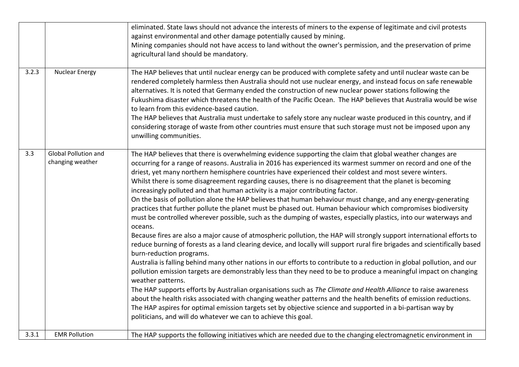|       |                                          | eliminated. State laws should not advance the interests of miners to the expense of legitimate and civil protests                                                                                                                                                                                                                                                                                                                                                                                                                                                                                                                                                                                                                                                                                                                                                                                                                                                                                                                                                                                                                                                                                                                                                                                                                                                                                                                                                                                                                                                                                                                                                                                                                                                                                                                                                                 |
|-------|------------------------------------------|-----------------------------------------------------------------------------------------------------------------------------------------------------------------------------------------------------------------------------------------------------------------------------------------------------------------------------------------------------------------------------------------------------------------------------------------------------------------------------------------------------------------------------------------------------------------------------------------------------------------------------------------------------------------------------------------------------------------------------------------------------------------------------------------------------------------------------------------------------------------------------------------------------------------------------------------------------------------------------------------------------------------------------------------------------------------------------------------------------------------------------------------------------------------------------------------------------------------------------------------------------------------------------------------------------------------------------------------------------------------------------------------------------------------------------------------------------------------------------------------------------------------------------------------------------------------------------------------------------------------------------------------------------------------------------------------------------------------------------------------------------------------------------------------------------------------------------------------------------------------------------------|
|       |                                          | against environmental and other damage potentially caused by mining.                                                                                                                                                                                                                                                                                                                                                                                                                                                                                                                                                                                                                                                                                                                                                                                                                                                                                                                                                                                                                                                                                                                                                                                                                                                                                                                                                                                                                                                                                                                                                                                                                                                                                                                                                                                                              |
|       |                                          | Mining companies should not have access to land without the owner's permission, and the preservation of prime<br>agricultural land should be mandatory.                                                                                                                                                                                                                                                                                                                                                                                                                                                                                                                                                                                                                                                                                                                                                                                                                                                                                                                                                                                                                                                                                                                                                                                                                                                                                                                                                                                                                                                                                                                                                                                                                                                                                                                           |
|       |                                          |                                                                                                                                                                                                                                                                                                                                                                                                                                                                                                                                                                                                                                                                                                                                                                                                                                                                                                                                                                                                                                                                                                                                                                                                                                                                                                                                                                                                                                                                                                                                                                                                                                                                                                                                                                                                                                                                                   |
| 3.2.3 | <b>Nuclear Energy</b>                    | The HAP believes that until nuclear energy can be produced with complete safety and until nuclear waste can be<br>rendered completely harmless then Australia should not use nuclear energy, and instead focus on safe renewable<br>alternatives. It is noted that Germany ended the construction of new nuclear power stations following the<br>Fukushima disaster which threatens the health of the Pacific Ocean. The HAP believes that Australia would be wise<br>to learn from this evidence-based caution.<br>The HAP believes that Australia must undertake to safely store any nuclear waste produced in this country, and if<br>considering storage of waste from other countries must ensure that such storage must not be imposed upon any<br>unwilling communities.                                                                                                                                                                                                                                                                                                                                                                                                                                                                                                                                                                                                                                                                                                                                                                                                                                                                                                                                                                                                                                                                                                   |
| 3.3   | Global Pollution and<br>changing weather | The HAP believes that there is overwhelming evidence supporting the claim that global weather changes are<br>occurring for a range of reasons. Australia in 2016 has experienced its warmest summer on record and one of the<br>driest, yet many northern hemisphere countries have experienced their coldest and most severe winters.<br>Whilst there is some disagreement regarding causes, there is no disagreement that the planet is becoming<br>increasingly polluted and that human activity is a major contributing factor.<br>On the basis of pollution alone the HAP believes that human behaviour must change, and any energy-generating<br>practices that further pollute the planet must be phased out. Human behaviour which compromises biodiversity<br>must be controlled wherever possible, such as the dumping of wastes, especially plastics, into our waterways and<br>oceans.<br>Because fires are also a major cause of atmospheric pollution, the HAP will strongly support international efforts to<br>reduce burning of forests as a land clearing device, and locally will support rural fire brigades and scientifically based<br>burn-reduction programs.<br>Australia is falling behind many other nations in our efforts to contribute to a reduction in global pollution, and our<br>pollution emission targets are demonstrably less than they need to be to produce a meaningful impact on changing<br>weather patterns.<br>The HAP supports efforts by Australian organisations such as The Climate and Health Alliance to raise awareness<br>about the health risks associated with changing weather patterns and the health benefits of emission reductions.<br>The HAP aspires for optimal emission targets set by objective science and supported in a bi-partisan way by<br>politicians, and will do whatever we can to achieve this goal. |
| 3.3.1 | <b>EMR Pollution</b>                     | The HAP supports the following initiatives which are needed due to the changing electromagnetic environment in                                                                                                                                                                                                                                                                                                                                                                                                                                                                                                                                                                                                                                                                                                                                                                                                                                                                                                                                                                                                                                                                                                                                                                                                                                                                                                                                                                                                                                                                                                                                                                                                                                                                                                                                                                    |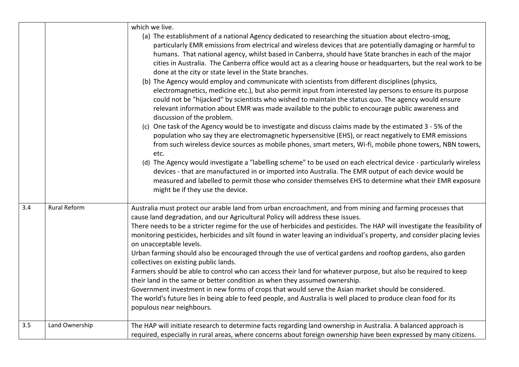|     |                     | which we live.                                                                                                                                                                                                                                                                                                                                                                                                                                                                                                                                                                                                                                                                                                                                                                                                                                                                                                                                                                                                                                                                                                                                                                                                                                                                                                                                                                                                                                                                                                                                                                                                                                                                                    |
|-----|---------------------|---------------------------------------------------------------------------------------------------------------------------------------------------------------------------------------------------------------------------------------------------------------------------------------------------------------------------------------------------------------------------------------------------------------------------------------------------------------------------------------------------------------------------------------------------------------------------------------------------------------------------------------------------------------------------------------------------------------------------------------------------------------------------------------------------------------------------------------------------------------------------------------------------------------------------------------------------------------------------------------------------------------------------------------------------------------------------------------------------------------------------------------------------------------------------------------------------------------------------------------------------------------------------------------------------------------------------------------------------------------------------------------------------------------------------------------------------------------------------------------------------------------------------------------------------------------------------------------------------------------------------------------------------------------------------------------------------|
|     |                     | (a) The establishment of a national Agency dedicated to researching the situation about electro-smog,<br>particularly EMR emissions from electrical and wireless devices that are potentially damaging or harmful to<br>humans. That national agency, whilst based in Canberra, should have State branches in each of the major<br>cities in Australia. The Canberra office would act as a clearing house or headquarters, but the real work to be<br>done at the city or state level in the State branches.<br>(b) The Agency would employ and communicate with scientists from different disciplines (physics,<br>electromagnetics, medicine etc.), but also permit input from interested lay persons to ensure its purpose<br>could not be "hijacked" by scientists who wished to maintain the status quo. The agency would ensure<br>relevant information about EMR was made available to the public to encourage public awareness and<br>discussion of the problem.<br>(c) One task of the Agency would be to investigate and discuss claims made by the estimated 3 - 5% of the<br>population who say they are electromagnetic hypersensitive (EHS), or react negatively to EMR emissions<br>from such wireless device sources as mobile phones, smart meters, Wi-fi, mobile phone towers, NBN towers,<br>etc.<br>(d) The Agency would investigate a "labelling scheme" to be used on each electrical device - particularly wireless<br>devices - that are manufactured in or imported into Australia. The EMR output of each device would be<br>measured and labelled to permit those who consider themselves EHS to determine what their EMR exposure<br>might be if they use the device. |
| 3.4 | <b>Rural Reform</b> | Australia must protect our arable land from urban encroachment, and from mining and farming processes that<br>cause land degradation, and our Agricultural Policy will address these issues.<br>There needs to be a stricter regime for the use of herbicides and pesticides. The HAP will investigate the feasibility of<br>monitoring pesticides, herbicides and silt found in water leaving an individual's property, and consider placing levies<br>on unacceptable levels.<br>Urban farming should also be encouraged through the use of vertical gardens and rooftop gardens, also garden<br>collectives on existing public lands.<br>Farmers should be able to control who can access their land for whatever purpose, but also be required to keep<br>their land in the same or better condition as when they assumed ownership.<br>Government investment in new forms of crops that would serve the Asian market should be considered.<br>The world's future lies in being able to feed people, and Australia is well placed to produce clean food for its<br>populous near neighbours.                                                                                                                                                                                                                                                                                                                                                                                                                                                                                                                                                                                                  |
| 3.5 | Land Ownership      | The HAP will initiate research to determine facts regarding land ownership in Australia. A balanced approach is<br>required, especially in rural areas, where concerns about foreign ownership have been expressed by many citizens.                                                                                                                                                                                                                                                                                                                                                                                                                                                                                                                                                                                                                                                                                                                                                                                                                                                                                                                                                                                                                                                                                                                                                                                                                                                                                                                                                                                                                                                              |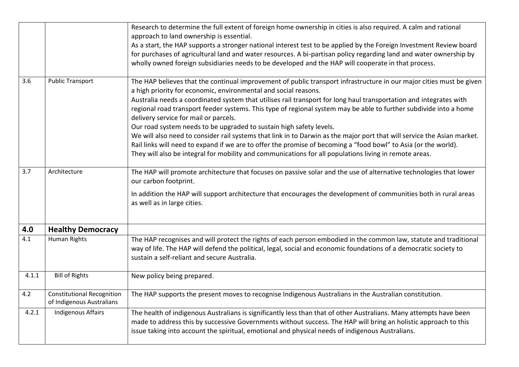|       |                                                                | Research to determine the full extent of foreign home ownership in cities is also required. A calm and rational<br>approach to land ownership is essential.<br>As a start, the HAP supports a stronger national interest test to be applied by the Foreign Investment Review board<br>for purchases of agricultural land and water resources. A bi-partisan policy regarding land and water ownership by<br>wholly owned foreign subsidiaries needs to be developed and the HAP will cooperate in that process.                                                                                                                                                                                                                                                                                                                                                                                            |
|-------|----------------------------------------------------------------|------------------------------------------------------------------------------------------------------------------------------------------------------------------------------------------------------------------------------------------------------------------------------------------------------------------------------------------------------------------------------------------------------------------------------------------------------------------------------------------------------------------------------------------------------------------------------------------------------------------------------------------------------------------------------------------------------------------------------------------------------------------------------------------------------------------------------------------------------------------------------------------------------------|
| 3.6   | <b>Public Transport</b>                                        | The HAP believes that the continual improvement of public transport infrastructure in our major cities must be given<br>a high priority for economic, environmental and social reasons.<br>Australia needs a coordinated system that utilises rail transport for long haul transportation and integrates with<br>regional road transport feeder systems. This type of regional system may be able to further subdivide into a home<br>delivery service for mail or parcels.<br>Our road system needs to be upgraded to sustain high safety levels.<br>We will also need to consider rail systems that link in to Darwin as the major port that will service the Asian market.<br>Rail links will need to expand if we are to offer the promise of becoming a "food bowl" to Asia (or the world).<br>They will also be integral for mobility and communications for all populations living in remote areas. |
| 3.7   | Architecture                                                   | The HAP will promote architecture that focuses on passive solar and the use of alternative technologies that lower<br>our carbon footprint.<br>In addition the HAP will support architecture that encourages the development of communities both in rural areas<br>as well as in large cities.                                                                                                                                                                                                                                                                                                                                                                                                                                                                                                                                                                                                             |
| 4.0   | <b>Healthy Democracy</b>                                       |                                                                                                                                                                                                                                                                                                                                                                                                                                                                                                                                                                                                                                                                                                                                                                                                                                                                                                            |
| 4.1   | Human Rights                                                   | The HAP recognises and will protect the rights of each person embodied in the common law, statute and traditional<br>way of life. The HAP will defend the political, legal, social and economic foundations of a democratic society to<br>sustain a self-reliant and secure Australia.                                                                                                                                                                                                                                                                                                                                                                                                                                                                                                                                                                                                                     |
| 4.1.1 | <b>Bill of Rights</b>                                          | New policy being prepared.                                                                                                                                                                                                                                                                                                                                                                                                                                                                                                                                                                                                                                                                                                                                                                                                                                                                                 |
| 4.2   | <b>Constitutional Recognition</b><br>of Indigenous Australians | The HAP supports the present moves to recognise Indigenous Australians in the Australian constitution.                                                                                                                                                                                                                                                                                                                                                                                                                                                                                                                                                                                                                                                                                                                                                                                                     |
| 4.2.1 | <b>Indigenous Affairs</b>                                      | The health of indigenous Australians is significantly less than that of other Australians. Many attempts have been<br>made to address this by successive Governments without success. The HAP will bring an holistic approach to this<br>issue taking into account the spiritual, emotional and physical needs of indigenous Australians.                                                                                                                                                                                                                                                                                                                                                                                                                                                                                                                                                                  |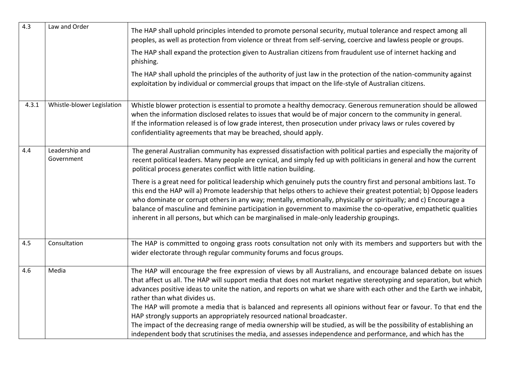| 4.3   | Law and Order                | The HAP shall uphold principles intended to promote personal security, mutual tolerance and respect among all<br>peoples, as well as protection from violence or threat from self-serving, coercive and lawless people or groups.                                                                                                                                                                                                                                                                                                                                                                                                                                                                                                                                                                                                 |
|-------|------------------------------|-----------------------------------------------------------------------------------------------------------------------------------------------------------------------------------------------------------------------------------------------------------------------------------------------------------------------------------------------------------------------------------------------------------------------------------------------------------------------------------------------------------------------------------------------------------------------------------------------------------------------------------------------------------------------------------------------------------------------------------------------------------------------------------------------------------------------------------|
|       |                              | The HAP shall expand the protection given to Australian citizens from fraudulent use of internet hacking and<br>phishing.                                                                                                                                                                                                                                                                                                                                                                                                                                                                                                                                                                                                                                                                                                         |
|       |                              | The HAP shall uphold the principles of the authority of just law in the protection of the nation-community against<br>exploitation by individual or commercial groups that impact on the life-style of Australian citizens.                                                                                                                                                                                                                                                                                                                                                                                                                                                                                                                                                                                                       |
| 4.3.1 | Whistle-blower Legislation   | Whistle blower protection is essential to promote a healthy democracy. Generous remuneration should be allowed<br>when the information disclosed relates to issues that would be of major concern to the community in general.<br>If the information released is of low grade interest, then prosecution under privacy laws or rules covered by<br>confidentiality agreements that may be breached, should apply.                                                                                                                                                                                                                                                                                                                                                                                                                 |
| 4.4   | Leadership and<br>Government | The general Australian community has expressed dissatisfaction with political parties and especially the majority of<br>recent political leaders. Many people are cynical, and simply fed up with politicians in general and how the current<br>political process generates conflict with little nation building.                                                                                                                                                                                                                                                                                                                                                                                                                                                                                                                 |
|       |                              | There is a great need for political leadership which genuinely puts the country first and personal ambitions last. To<br>this end the HAP will a) Promote leadership that helps others to achieve their greatest potential; b) Oppose leaders<br>who dominate or corrupt others in any way; mentally, emotionally, physically or spiritually; and c) Encourage a<br>balance of masculine and feminine participation in government to maximise the co-operative, empathetic qualities<br>inherent in all persons, but which can be marginalised in male-only leadership groupings.                                                                                                                                                                                                                                                 |
| 4.5   | Consultation                 | The HAP is committed to ongoing grass roots consultation not only with its members and supporters but with the<br>wider electorate through regular community forums and focus groups.                                                                                                                                                                                                                                                                                                                                                                                                                                                                                                                                                                                                                                             |
| 4.6   | Media                        | The HAP will encourage the free expression of views by all Australians, and encourage balanced debate on issues<br>that affect us all. The HAP will support media that does not market negative stereotyping and separation, but which<br>advances positive ideas to unite the nation, and reports on what we share with each other and the Earth we inhabit,<br>rather than what divides us.<br>The HAP will promote a media that is balanced and represents all opinions without fear or favour. To that end the<br>HAP strongly supports an appropriately resourced national broadcaster.<br>The impact of the decreasing range of media ownership will be studied, as will be the possibility of establishing an<br>independent body that scrutinises the media, and assesses independence and performance, and which has the |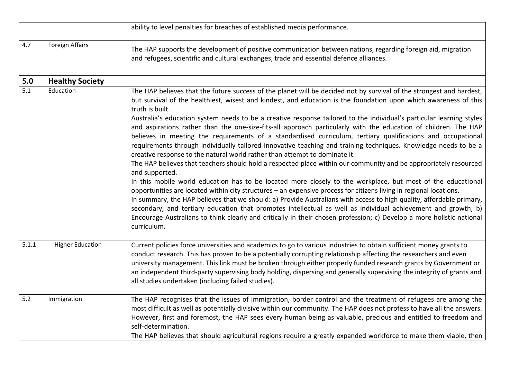|       |                         | ability to level penalties for breaches of established media performance.                                                                                                                                                                                                                                                                                                                                                                                                                                                                                                                                                                                                                                                                                                                                                                                                                                                                                                                                                                                                                                                                                                                                                                                                                                                                                                                                                                                                                                                                                                          |
|-------|-------------------------|------------------------------------------------------------------------------------------------------------------------------------------------------------------------------------------------------------------------------------------------------------------------------------------------------------------------------------------------------------------------------------------------------------------------------------------------------------------------------------------------------------------------------------------------------------------------------------------------------------------------------------------------------------------------------------------------------------------------------------------------------------------------------------------------------------------------------------------------------------------------------------------------------------------------------------------------------------------------------------------------------------------------------------------------------------------------------------------------------------------------------------------------------------------------------------------------------------------------------------------------------------------------------------------------------------------------------------------------------------------------------------------------------------------------------------------------------------------------------------------------------------------------------------------------------------------------------------|
| 4.7   | <b>Foreign Affairs</b>  | The HAP supports the development of positive communication between nations, regarding foreign aid, migration<br>and refugees, scientific and cultural exchanges, trade and essential defence alliances.                                                                                                                                                                                                                                                                                                                                                                                                                                                                                                                                                                                                                                                                                                                                                                                                                                                                                                                                                                                                                                                                                                                                                                                                                                                                                                                                                                            |
| 5.0   | <b>Healthy Society</b>  |                                                                                                                                                                                                                                                                                                                                                                                                                                                                                                                                                                                                                                                                                                                                                                                                                                                                                                                                                                                                                                                                                                                                                                                                                                                                                                                                                                                                                                                                                                                                                                                    |
| 5.1   | Education               | The HAP believes that the future success of the planet will be decided not by survival of the strongest and hardest,<br>but survival of the healthiest, wisest and kindest, and education is the foundation upon which awareness of this<br>truth is built.<br>Australia's education system needs to be a creative response tailored to the individual's particular learning styles<br>and aspirations rather than the one-size-fits-all approach particularly with the education of children. The HAP<br>believes in meeting the requirements of a standardised curriculum, tertiary qualifications and occupational<br>requirements through individually tailored innovative teaching and training techniques. Knowledge needs to be a<br>creative response to the natural world rather than attempt to dominate it.<br>The HAP believes that teachers should hold a respected place within our community and be appropriately resourced<br>and supported.<br>In this mobile world education has to be located more closely to the workplace, but most of the educational<br>opportunities are located within city structures - an expensive process for citizens living in regional locations.<br>In summary, the HAP believes that we should: a) Provide Australians with access to high quality, affordable primary,<br>secondary, and tertiary education that promotes intellectual as well as individual achievement and growth; b)<br>Encourage Australians to think clearly and critically in their chosen profession; c) Develop a more holistic national<br>curriculum. |
| 5.1.1 | <b>Higher Education</b> | Current policies force universities and academics to go to various industries to obtain sufficient money grants to<br>conduct research. This has proven to be a potentially corrupting relationship affecting the researchers and even<br>university management. This link must be broken through either properly funded research grants by Government or<br>an independent third-party supervising body holding, dispersing and generally supervising the integrity of grants and<br>all studies undertaken (including failed studies).                                                                                                                                                                                                                                                                                                                                                                                                                                                                                                                                                                                                                                                                                                                                                                                                                                                                                                                                                                                                                                           |
| $5.2$ | Immigration             | The HAP recognises that the issues of immigration, border control and the treatment of refugees are among the<br>most difficult as well as potentially divisive within our community. The HAP does not profess to have all the answers.<br>However, first and foremost, the HAP sees every human being as valuable, precious and entitled to freedom and<br>self-determination.<br>The HAP believes that should agricultural regions require a greatly expanded workforce to make them viable, then                                                                                                                                                                                                                                                                                                                                                                                                                                                                                                                                                                                                                                                                                                                                                                                                                                                                                                                                                                                                                                                                                |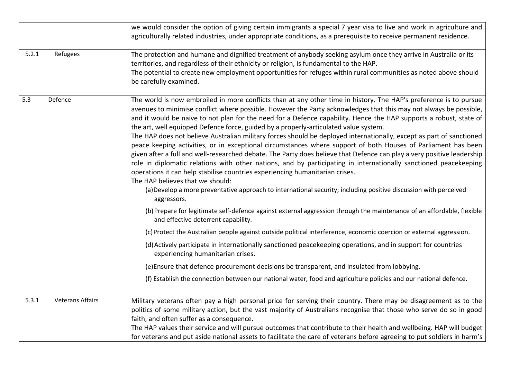|       |                         | we would consider the option of giving certain immigrants a special 7 year visa to live and work in agriculture and                                                                                                                                                                                                                                                                                                                                                                                                                                                                                                                                                                                                                                                                                                                                                                                                                                                                                                                                                                                                                                                                                |
|-------|-------------------------|----------------------------------------------------------------------------------------------------------------------------------------------------------------------------------------------------------------------------------------------------------------------------------------------------------------------------------------------------------------------------------------------------------------------------------------------------------------------------------------------------------------------------------------------------------------------------------------------------------------------------------------------------------------------------------------------------------------------------------------------------------------------------------------------------------------------------------------------------------------------------------------------------------------------------------------------------------------------------------------------------------------------------------------------------------------------------------------------------------------------------------------------------------------------------------------------------|
|       |                         | agriculturally related industries, under appropriate conditions, as a prerequisite to receive permanent residence.                                                                                                                                                                                                                                                                                                                                                                                                                                                                                                                                                                                                                                                                                                                                                                                                                                                                                                                                                                                                                                                                                 |
|       |                         |                                                                                                                                                                                                                                                                                                                                                                                                                                                                                                                                                                                                                                                                                                                                                                                                                                                                                                                                                                                                                                                                                                                                                                                                    |
| 5.2.1 | Refugees                | The protection and humane and dignified treatment of anybody seeking asylum once they arrive in Australia or its<br>territories, and regardless of their ethnicity or religion, is fundamental to the HAP.                                                                                                                                                                                                                                                                                                                                                                                                                                                                                                                                                                                                                                                                                                                                                                                                                                                                                                                                                                                         |
|       |                         | The potential to create new employment opportunities for refuges within rural communities as noted above should<br>be carefully examined.                                                                                                                                                                                                                                                                                                                                                                                                                                                                                                                                                                                                                                                                                                                                                                                                                                                                                                                                                                                                                                                          |
| 5.3   | Defence                 | The world is now embroiled in more conflicts than at any other time in history. The HAP's preference is to pursue<br>avenues to minimise conflict where possible. However the Party acknowledges that this may not always be possible,<br>and it would be naive to not plan for the need for a Defence capability. Hence the HAP supports a robust, state of<br>the art, well equipped Defence force, guided by a properly-articulated value system.<br>The HAP does not believe Australian military forces should be deployed internationally, except as part of sanctioned<br>peace keeping activities, or in exceptional circumstances where support of both Houses of Parliament has been<br>given after a full and well-researched debate. The Party does believe that Defence can play a very positive leadership<br>role in diplomatic relations with other nations, and by participating in internationally sanctioned peacekeeping<br>operations it can help stabilise countries experiencing humanitarian crises.<br>The HAP believes that we should:<br>(a) Develop a more preventative approach to international security; including positive discussion with perceived<br>aggressors. |
|       |                         | (b) Prepare for legitimate self-defence against external aggression through the maintenance of an affordable, flexible<br>and effective deterrent capability.                                                                                                                                                                                                                                                                                                                                                                                                                                                                                                                                                                                                                                                                                                                                                                                                                                                                                                                                                                                                                                      |
|       |                         | (c) Protect the Australian people against outside political interference, economic coercion or external aggression.                                                                                                                                                                                                                                                                                                                                                                                                                                                                                                                                                                                                                                                                                                                                                                                                                                                                                                                                                                                                                                                                                |
|       |                         | (d) Actively participate in internationally sanctioned peacekeeping operations, and in support for countries<br>experiencing humanitarian crises.                                                                                                                                                                                                                                                                                                                                                                                                                                                                                                                                                                                                                                                                                                                                                                                                                                                                                                                                                                                                                                                  |
|       |                         | (e)Ensure that defence procurement decisions be transparent, and insulated from lobbying.                                                                                                                                                                                                                                                                                                                                                                                                                                                                                                                                                                                                                                                                                                                                                                                                                                                                                                                                                                                                                                                                                                          |
|       |                         | (f) Establish the connection between our national water, food and agriculture policies and our national defence.                                                                                                                                                                                                                                                                                                                                                                                                                                                                                                                                                                                                                                                                                                                                                                                                                                                                                                                                                                                                                                                                                   |
| 5.3.1 | <b>Veterans Affairs</b> | Military veterans often pay a high personal price for serving their country. There may be disagreement as to the                                                                                                                                                                                                                                                                                                                                                                                                                                                                                                                                                                                                                                                                                                                                                                                                                                                                                                                                                                                                                                                                                   |
|       |                         | politics of some military action, but the vast majority of Australians recognise that those who serve do so in good                                                                                                                                                                                                                                                                                                                                                                                                                                                                                                                                                                                                                                                                                                                                                                                                                                                                                                                                                                                                                                                                                |
|       |                         | faith, and often suffer as a consequence.                                                                                                                                                                                                                                                                                                                                                                                                                                                                                                                                                                                                                                                                                                                                                                                                                                                                                                                                                                                                                                                                                                                                                          |
|       |                         | The HAP values their service and will pursue outcomes that contribute to their health and wellbeing. HAP will budget                                                                                                                                                                                                                                                                                                                                                                                                                                                                                                                                                                                                                                                                                                                                                                                                                                                                                                                                                                                                                                                                               |
|       |                         | for veterans and put aside national assets to facilitate the care of veterans before agreeing to put soldiers in harm's                                                                                                                                                                                                                                                                                                                                                                                                                                                                                                                                                                                                                                                                                                                                                                                                                                                                                                                                                                                                                                                                            |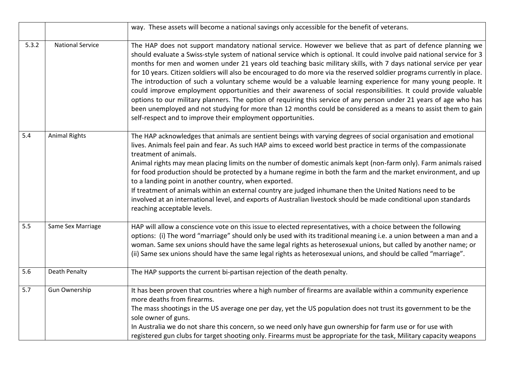|       |                         | way. These assets will become a national savings only accessible for the benefit of veterans.                                                                                                                                                                                                                                                                                                                                                                                                                                                                                                                                                                                                                                                                                                                                                                                                                                                                                                                                       |
|-------|-------------------------|-------------------------------------------------------------------------------------------------------------------------------------------------------------------------------------------------------------------------------------------------------------------------------------------------------------------------------------------------------------------------------------------------------------------------------------------------------------------------------------------------------------------------------------------------------------------------------------------------------------------------------------------------------------------------------------------------------------------------------------------------------------------------------------------------------------------------------------------------------------------------------------------------------------------------------------------------------------------------------------------------------------------------------------|
| 5.3.2 | <b>National Service</b> | The HAP does not support mandatory national service. However we believe that as part of defence planning we<br>should evaluate a Swiss-style system of national service which is optional. It could involve paid national service for 3<br>months for men and women under 21 years old teaching basic military skills, with 7 days national service per year<br>for 10 years. Citizen soldiers will also be encouraged to do more via the reserved soldier programs currently in place.<br>The introduction of such a voluntary scheme would be a valuable learning experience for many young people. It<br>could improve employment opportunities and their awareness of social responsibilities. It could provide valuable<br>options to our military planners. The option of requiring this service of any person under 21 years of age who has<br>been unemployed and not studying for more than 12 months could be considered as a means to assist them to gain<br>self-respect and to improve their employment opportunities. |
| 5.4   | <b>Animal Rights</b>    | The HAP acknowledges that animals are sentient beings with varying degrees of social organisation and emotional<br>lives. Animals feel pain and fear. As such HAP aims to exceed world best practice in terms of the compassionate<br>treatment of animals.<br>Animal rights may mean placing limits on the number of domestic animals kept (non-farm only). Farm animals raised<br>for food production should be protected by a humane regime in both the farm and the market environment, and up<br>to a landing point in another country, when exported.<br>If treatment of animals within an external country are judged inhumane then the United Nations need to be<br>involved at an international level, and exports of Australian livestock should be made conditional upon standards<br>reaching acceptable levels.                                                                                                                                                                                                        |
| 5.5   | Same Sex Marriage       | HAP will allow a conscience vote on this issue to elected representatives, with a choice between the following<br>options: (i) The word "marriage" should only be used with its traditional meaning i.e. a union between a man and a<br>woman. Same sex unions should have the same legal rights as heterosexual unions, but called by another name; or<br>(ii) Same sex unions should have the same legal rights as heterosexual unions, and should be called "marriage".                                                                                                                                                                                                                                                                                                                                                                                                                                                                                                                                                          |
| 5.6   | Death Penalty           | The HAP supports the current bi-partisan rejection of the death penalty.                                                                                                                                                                                                                                                                                                                                                                                                                                                                                                                                                                                                                                                                                                                                                                                                                                                                                                                                                            |
| 5.7   | <b>Gun Ownership</b>    | It has been proven that countries where a high number of firearms are available within a community experience<br>more deaths from firearms.<br>The mass shootings in the US average one per day, yet the US population does not trust its government to be the<br>sole owner of guns.<br>In Australia we do not share this concern, so we need only have gun ownership for farm use or for use with<br>registered gun clubs for target shooting only. Firearms must be appropriate for the task, Military capacity weapons                                                                                                                                                                                                                                                                                                                                                                                                                                                                                                          |